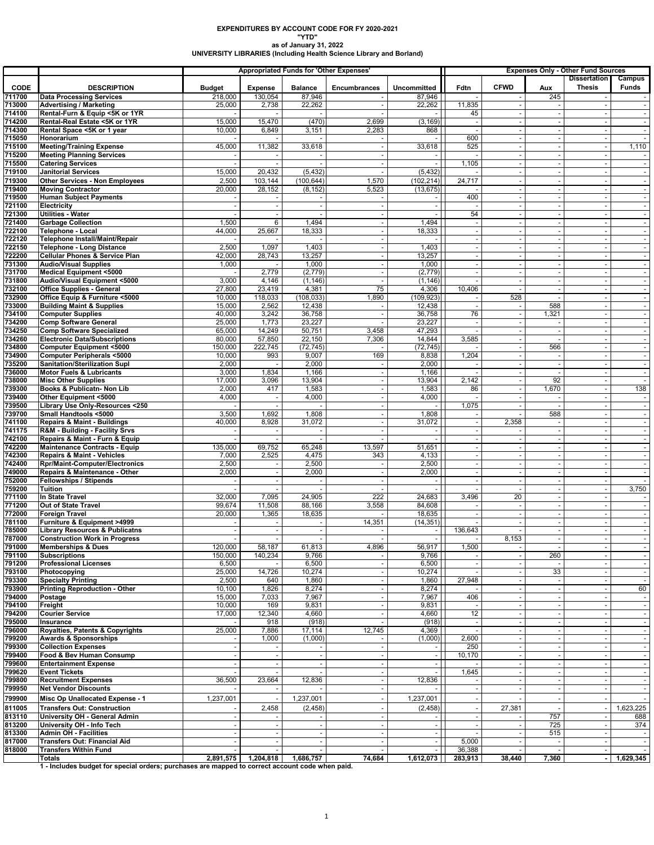## **EXPENDITURES BY ACCOUNT CODE FOR FY 2020-2021 "YTD"**

**as of January 31, 2022 UNIVERSITY LIBRARIES (Including Health Science Library and Borland)**

|                  |                                                                                                           |                   |                          | <b>Appropriated Funds for 'Other Expenses'</b> |                          |                    | <b>Expenses Only - Other Fund Sources</b> |             |                          |                                      |                          |
|------------------|-----------------------------------------------------------------------------------------------------------|-------------------|--------------------------|------------------------------------------------|--------------------------|--------------------|-------------------------------------------|-------------|--------------------------|--------------------------------------|--------------------------|
| <b>CODE</b>      | <b>DESCRIPTION</b>                                                                                        | <b>Budget</b>     | <b>Expense</b>           | <b>Balance</b>                                 | <b>Encumbrances</b>      | Uncommitted        | Fdtn                                      | <b>CFWD</b> | Aux                      | <b>Dissertation</b><br><b>Thesis</b> | Campus<br>Funds          |
| 711700           | <b>Data Processing Services</b>                                                                           | 218,000           | 130,054                  | 87,946                                         |                          | 87,946             |                                           |             | 245                      |                                      |                          |
| 713000           | <b>Advertising / Marketing</b>                                                                            | 25,000            | 2,738                    | 22,262                                         |                          | 22,262             | 11,835                                    |             |                          |                                      |                          |
| 714100           | Rental-Furn & Equip <5K or 1YR                                                                            |                   |                          |                                                |                          |                    | 45                                        |             |                          |                                      |                          |
| 714200<br>714300 | Rental-Real Estate <5K or 1YR<br>Rental Space <5K or 1 year                                               | 15,000<br>10,000  | 15,470<br>6,849          | (470)<br>3,151                                 | 2,699<br>2,283           | (3, 169)<br>868    | $\overline{\phantom{a}}$                  |             |                          |                                      | $\sim$                   |
| 715050           | Honorarium                                                                                                |                   |                          |                                                |                          |                    | 600                                       |             | $\sim$                   |                                      | $\sim$                   |
| 715100           | <b>Meeting/Training Expense</b>                                                                           | 45,000            | 11,382                   | 33,618                                         |                          | 33,618             | 525                                       |             |                          |                                      | 1,110                    |
| 715200           | <b>Meeting Planning Services</b>                                                                          |                   |                          |                                                |                          |                    |                                           |             |                          |                                      |                          |
| 715500<br>719100 | <b>Catering Services</b><br><b>Janitorial Services</b>                                                    | 15,000            | $\sim$<br>20,432         | (5, 432)                                       | $\overline{\phantom{a}}$ | (5, 432)           | 1,105<br>$\sim$                           | $\sim$      |                          | $\sim$                               | $\sim$<br>$\sim$         |
| 719300           | Other Services - Non Employees                                                                            | 2,500             | 103,144                  | (100, 644)                                     | 1,570                    | (102.214)          | 24,717                                    |             |                          |                                      |                          |
| 719400           | <b>Moving Contractor</b>                                                                                  | 20,000            | 28,152                   | (8, 152)                                       | 5,523                    | (13, 675)          |                                           |             |                          |                                      |                          |
| 719500           | <b>Human Subject Payments</b>                                                                             |                   |                          |                                                |                          |                    | 400                                       |             |                          |                                      | $\overline{\phantom{a}}$ |
| 721100           | Electricity                                                                                               |                   |                          |                                                |                          |                    |                                           |             |                          |                                      |                          |
| 721300<br>721400 | <b>Utilities - Water</b><br><b>Garbage Collection</b>                                                     | 1,500             | 6                        | 1,494                                          |                          | 1,494              | 54                                        |             |                          |                                      | $\sim$                   |
| 722100           | Telephone - Local                                                                                         | 44,000            | 25,667                   | 18,333                                         | ÷.                       | 18,333             |                                           |             | $\overline{\phantom{a}}$ |                                      | $\sim$                   |
| 722120           | Telephone Install/Maint/Repair                                                                            |                   |                          |                                                |                          |                    |                                           |             |                          |                                      |                          |
| 722150           | <b>Telephone - Long Distance</b>                                                                          | 2,500             | 1,097                    | 1,403                                          |                          | 1,403              |                                           |             |                          |                                      |                          |
| 722200<br>731300 | <b>Cellular Phones &amp; Service Plan</b><br><b>Audio/Visual Supplies</b>                                 | 42,000<br>1,000   | 28,743                   | 13,257<br>1,000                                |                          | 13,257<br>1,000    |                                           |             |                          |                                      | $\sim$                   |
| 731700           | Medical Equipment <5000                                                                                   |                   | 2,779                    | (2,779)                                        |                          | (2,779)            |                                           |             |                          |                                      |                          |
| 731800           | Audio/Visual Equipment <5000                                                                              | 3,000             | 4,146                    | (1, 146)                                       |                          | (1, 146)           |                                           |             |                          |                                      | $\overline{\phantom{a}}$ |
| 732100           | <b>Office Supplies - General</b>                                                                          | 27,800            | 23,419                   | 4,381                                          | 75                       | 4,306              | 10,406                                    |             |                          |                                      |                          |
| 732900           | Office Equip & Furniture <5000                                                                            | 10,000            | 118,033                  | (108, 033)                                     | 1,890                    | (109, 923)         |                                           | 528         |                          |                                      |                          |
| 733000<br>734100 | <b>Building Maint &amp; Supplies</b><br><b>Computer Supplies</b>                                          | 15,000<br>40,000  | 2,562<br>3,242           | 12,438<br>36,758                               |                          | 12,438<br>36,758   | 76                                        |             | 588<br>1,321             |                                      | $\sim$                   |
| 734200           | <b>Comp Software General</b>                                                                              | 25,000            | 1,773                    | 23,227                                         |                          | 23,227             |                                           |             |                          |                                      |                          |
| 734250           | <b>Comp Software Specialized</b>                                                                          | 65,000            | 14,249                   | 50,751                                         | 3,458                    | 47,293             |                                           |             |                          |                                      |                          |
| 734260           | <b>Electronic Data/Subscriptions</b>                                                                      | 80,000            | 57,850                   | 22,150                                         | 7,306                    | 14,844             | 3,585                                     |             |                          |                                      | $\sim$                   |
| 734800<br>734900 | <b>Computer Equipment &lt;5000</b><br><b>Computer Peripherals &lt;5000</b>                                | 150.000<br>10,000 | 222,745<br>993           | (72, 745)<br>9,007                             | 169                      | (72, 745)<br>8,838 | 1,204                                     |             | 566                      |                                      |                          |
| 735200           | <b>Sanitation/Sterilization Supl</b>                                                                      | 2,000             | $\overline{\phantom{a}}$ | 2,000                                          |                          | 2,000              |                                           |             | $\sim$                   |                                      | $\blacksquare$           |
| 736000           | <b>Motor Fuels &amp; Lubricants</b>                                                                       | 3,000             | 1,834                    | 1,166                                          |                          | 1,166              |                                           |             |                          |                                      |                          |
| 738000           | <b>Misc Other Supplies</b>                                                                                | 17,000            | 3,096                    | 13,904                                         |                          | 13,904             | 2,142                                     |             | 92                       |                                      | $\sim$                   |
| 739300           | Books & Publicatn- Non Lib                                                                                | 2,000             | 417                      | 1,583                                          |                          | 1,583              | 86                                        |             | 1,670                    |                                      | 138                      |
| 739400<br>739500 | Other Equipment <5000<br>Library Use Only-Resources <250                                                  | 4,000             | $\sim$                   | 4,000                                          | ÷.                       | 4,000              | 1,075                                     |             | ٠.                       |                                      | $\sim$                   |
| 739700           | Small Handtools <5000                                                                                     | 3,500             | 1,692                    | 1,808                                          |                          | 1,808              |                                           |             | 588                      |                                      |                          |
| 741100           | <b>Repairs &amp; Maint - Buildings</b>                                                                    | 40,000            | 8,928                    | 31,072                                         |                          | 31,072             |                                           | 2,358       |                          |                                      | $\overline{\phantom{a}}$ |
| 741175           | <b>R&amp;M - Building - Facility Srvs</b>                                                                 |                   |                          |                                                |                          |                    |                                           |             |                          |                                      |                          |
| 742100<br>742200 | Repairs & Maint - Furn & Equip<br><b>Maintenance Contracts - Equip</b>                                    | 135,000           | 69,752                   | 65,248                                         | 13,597                   | 51,651             |                                           |             |                          |                                      | $\blacksquare$           |
| 742300           | <b>Repairs &amp; Maint - Vehicles</b>                                                                     | 7,000             | 2,525                    | 4,475                                          | 343                      | 4,133              |                                           |             |                          |                                      |                          |
| 742400           | <b>Rpr/Maint-Computer/Electronics</b>                                                                     | 2,500             |                          | 2,500                                          |                          | 2,500              |                                           |             |                          |                                      | $\sim$                   |
| 749000           | Repairs & Maintenance - Other                                                                             | 2,000             | $\blacksquare$           | 2,000                                          |                          | 2,000              |                                           |             |                          |                                      |                          |
| 752000<br>759200 | <b>Fellowships / Stipends</b><br>Tuition                                                                  |                   | $\sim$                   |                                                |                          |                    |                                           |             | $\overline{\phantom{a}}$ |                                      | $\sim$<br>3,750          |
| 771100           | In State Travel                                                                                           | 32,000            | 7,095                    | 24,905                                         | 222                      | 24,683             | 3,496                                     | 20          |                          |                                      |                          |
| 771200           | Out of State Travel                                                                                       | 99,674            | 11,508                   | 88,166                                         | 3,558                    | 84,608             |                                           | $\sim$      | $\overline{\phantom{a}}$ |                                      | $\sim$                   |
| 772000           | <b>Foreign Travel</b>                                                                                     | 20,000            | 1,365                    | 18,635                                         |                          | 18,635             |                                           |             |                          |                                      |                          |
| 781100<br>785000 | Furniture & Equipment >4999<br><b>Library Resources &amp; Publicatns</b>                                  |                   | $\blacksquare$           |                                                | 14,351                   | (14, 351)          | 136,643                                   |             |                          |                                      |                          |
| 787000           | <b>Construction Work in Progress</b>                                                                      |                   |                          |                                                |                          |                    |                                           | 8,153       |                          |                                      | $\blacksquare$           |
| 791000           | Memberships & Dues                                                                                        | 120,000           | 58,187                   | 61,813                                         | 4,896                    | 56,917             | 1,500                                     |             |                          |                                      |                          |
| 791100           | <b>Subscriptions</b>                                                                                      | 150,000           | 140,234                  | 9,766                                          |                          | 9,766              |                                           |             | 260                      |                                      |                          |
| 791200           | <b>Professional Licenses</b>                                                                              | 6,500             |                          | 6,500                                          |                          | 6,500              |                                           |             |                          |                                      |                          |
| 793100<br>793300 | Photocopying<br><b>Specialty Printing</b>                                                                 | 25,000<br>2,500   | 14,726<br>640            | 10,274<br>1,860                                |                          | 10,274<br>1,860    | 27,948                                    |             | 33                       |                                      |                          |
| 793900           | <b>Printing Reproduction - Other</b>                                                                      | 10,100            | 1,826                    | 8,274                                          |                          | 8,274              |                                           |             | $\sim$                   |                                      | 60                       |
| 794000           | Postage                                                                                                   | 15,000            | 7,033                    | 7,967                                          |                          | 7,967              | 406                                       |             |                          |                                      |                          |
| 794100           | Freight                                                                                                   | 10,000            | 169                      | 9,831                                          |                          | 9,831              |                                           |             |                          |                                      |                          |
| 794200<br>795000 | <b>Courier Service</b><br>Insurance                                                                       | 17,000            | 12,340<br>918            | 4,660<br>(918)                                 |                          | 4,660<br>(918)     | 12                                        |             |                          |                                      | $\sim$                   |
| 796000           | Royalties, Patents & Copyrights                                                                           | 25,000            | 7,886                    | 17,114                                         | 12,745                   | 4,369              |                                           |             |                          |                                      |                          |
| 799200           | <b>Awards &amp; Sponsorships</b>                                                                          |                   | 1,000                    | (1,000)                                        |                          | (1,000)            | 2,600                                     |             |                          |                                      |                          |
| 799300           | <b>Collection Expenses</b>                                                                                |                   |                          |                                                |                          |                    | 250                                       |             |                          |                                      |                          |
| 799400<br>799600 | Food & Bev Human Consump<br><b>Entertainment Expense</b>                                                  |                   |                          |                                                |                          |                    | 10,170                                    |             |                          |                                      |                          |
| 799620           | <b>Event Tickets</b>                                                                                      |                   |                          |                                                |                          |                    | 1,645                                     |             | $\overline{\phantom{a}}$ |                                      | $\sim$                   |
| 799800           | <b>Recruitment Expenses</b>                                                                               | 36,500            | 23,664                   | 12,836                                         |                          | 12,836             |                                           |             |                          |                                      |                          |
| 799950           | <b>Net Vendor Discounts</b>                                                                               |                   |                          |                                                |                          |                    |                                           |             |                          |                                      |                          |
| 799900           | Misc Op Unallocated Expense - 1                                                                           | 1,237,001         |                          | 1,237,001                                      |                          | 1,237,001          |                                           |             |                          |                                      |                          |
| 811005           | <b>Transfers Out: Construction</b>                                                                        |                   | 2,458                    | (2, 458)                                       |                          | (2, 458)           |                                           | 27,381      |                          |                                      | 1,623,225                |
| 813110<br>813200 | University OH - General Admin<br>University OH - Info Tech                                                |                   |                          |                                                |                          | $\sim$             |                                           |             | 757<br>725               |                                      | 688<br>374               |
| 813300           | <b>Admin OH - Facilities</b>                                                                              |                   |                          |                                                |                          | $\sim$             |                                           |             | 515                      |                                      |                          |
| 817000           | Transfers Out: Financial Aid                                                                              |                   |                          |                                                |                          | $\sim$             | 5,000                                     |             |                          |                                      |                          |
| 818000           | <b>Transfers Within Fund</b>                                                                              |                   |                          |                                                |                          |                    | 36,388                                    |             |                          |                                      |                          |
|                  | Totals<br>1 - Includes budget for special orders; purchases are mapped to correct account code when paid. | 2,891,575         | 1,204,818                | 1,686,757                                      | 74,684                   | 1,612,073          | 283,913                                   | 38,440      | 7,360                    |                                      | 1,629,345                |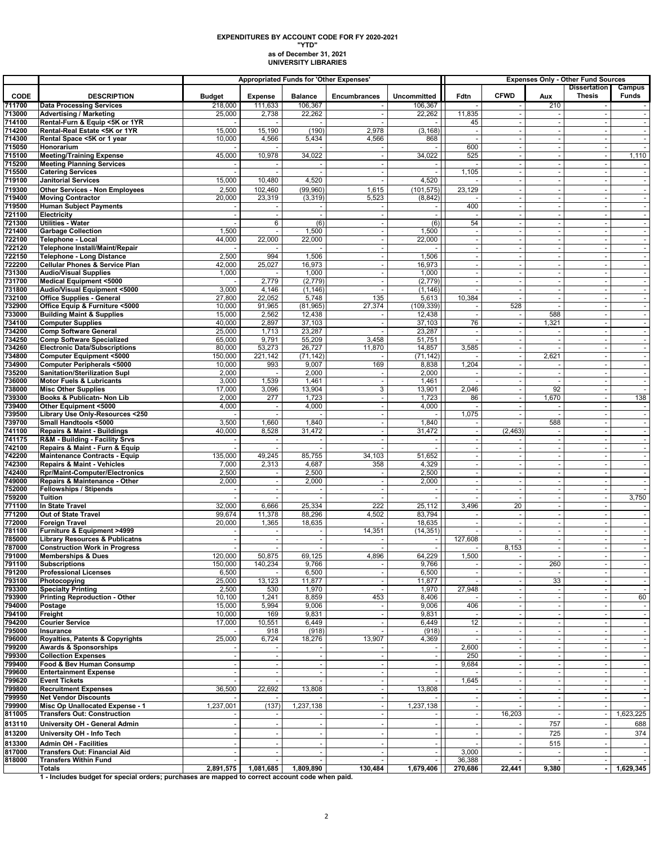## **as of December 31, 2021 UNIVERSITY LIBRARIES EXPENDITURES BY ACCOUNT CODE FOR FY 2020-2021 "YTD"**

|                  |                                                                                   | <b>Appropriated Funds for 'Other Expenses'</b> |                   |                          |                |                                    | <b>Expenses Only - Other Fund Sources</b> |             |                          |                                      |                          |
|------------------|-----------------------------------------------------------------------------------|------------------------------------------------|-------------------|--------------------------|----------------|------------------------------------|-------------------------------------------|-------------|--------------------------|--------------------------------------|--------------------------|
| <b>CODE</b>      | <b>DESCRIPTION</b>                                                                | <b>Budget</b>                                  | <b>Expense</b>    | <b>Balance</b>           | Encumbrances   | Uncommitted                        | Fdtn                                      | <b>CFWD</b> | Aux                      | <b>Dissertation</b><br><b>Thesis</b> | Campus<br>Funds          |
| 711700           | <b>Data Processing Services</b>                                                   | 218,000                                        | 111,633           | 106,367                  |                | 106,367                            |                                           |             | 210                      |                                      |                          |
| 713000           | <b>Advertising / Marketing</b>                                                    | 25,000                                         | 2,738             | 22,262                   |                | 22,262                             | 11,835                                    |             |                          |                                      | $\sim$                   |
| 714100           | Rental-Furn & Equip <5K or 1YR                                                    |                                                |                   |                          |                |                                    | 45                                        |             |                          |                                      |                          |
| 714200           | Rental-Real Estate <5K or 1YR                                                     | 15,000                                         | 15,190            | (190)                    | 2,978          | (3, 168)                           |                                           |             | ÷,                       |                                      | $\overline{\phantom{a}}$ |
| 714300<br>715050 | Rental Space <5K or 1 year<br>Honorarium                                          | 10,000                                         | 4,566             | 5,434                    | 4,566          | 868                                | 600                                       | $\sim$      | $\overline{\phantom{a}}$ |                                      | $\sim$                   |
| 715100           | <b>Meeting/Training Expense</b>                                                   | 45,000                                         | 10,978            | 34,022                   |                | 34,022                             | 525                                       |             |                          |                                      | 1,110                    |
| 715200           | <b>Meeting Planning Services</b>                                                  |                                                |                   |                          |                |                                    |                                           |             |                          |                                      |                          |
| 715500           | <b>Catering Services</b>                                                          |                                                |                   | $\overline{\phantom{a}}$ |                | $\blacksquare$                     | 1,105                                     |             | $\blacksquare$           | $\sim$                               | $\sim$                   |
| 719100           | <b>Janitorial Services</b>                                                        | 15,000                                         | 10,480            | 4,520                    |                | 4,520                              |                                           |             |                          |                                      | $\overline{\phantom{a}}$ |
| 719300           | <b>Other Services - Non Employees</b>                                             | 2,500                                          | 102,460           | (99,960)                 | 1,615          | (101, 575)                         | 23,129                                    |             |                          |                                      |                          |
| 719400<br>719500 | <b>Moving Contractor</b><br><b>Human Subject Payments</b>                         | 20,000                                         | 23,319            | (3, 319)                 | 5,523          | (8, 842)<br>$\blacksquare$         | 400                                       | $\sim$      |                          |                                      | $\blacksquare$           |
| 721100           | Electricity                                                                       |                                                |                   |                          |                |                                    |                                           |             |                          |                                      |                          |
| 721300           | <b>Utilities - Water</b>                                                          |                                                | 6                 | (6)                      |                | (6)                                | 54                                        |             |                          |                                      |                          |
| 721400           | <b>Garbage Collection</b>                                                         | 1,500                                          |                   | 1,500                    |                | 1,500                              |                                           |             |                          |                                      |                          |
| 722100           | <b>Telephone - Local</b>                                                          | 44,000                                         | 22,000            | 22,000                   | $\sim$         | $\overline{22,000}$                | $\overline{\phantom{a}}$                  |             | $\overline{\phantom{a}}$ | $\sim$                               |                          |
| 722120<br>722150 | Telephone Install/Maint/Repair<br><b>Telephone - Long Distance</b>                | 2,500                                          | 994               | 1,506                    |                | 1,506                              |                                           |             |                          |                                      |                          |
| 722200           | <b>Cellular Phones &amp; Service Plan</b>                                         | 42,000                                         | 25,027            | 16,973                   |                | 16,973                             |                                           |             |                          |                                      | $\blacksquare$           |
| 731300           | <b>Audio/Visual Supplies</b>                                                      | 1,000                                          |                   | 1,000                    |                | 1,000                              |                                           |             |                          |                                      |                          |
| 731700           | <b>Medical Equipment &lt;5000</b>                                                 |                                                | 2,779             | (2,779)                  |                | (2,779)                            |                                           |             |                          |                                      |                          |
| 731800           | Audio/Visual Equipment <5000                                                      | 3,000                                          | 4,146             | (1, 146)                 |                | (1, 146)                           |                                           | $\sim$      | $\blacksquare$           |                                      | $\overline{\phantom{a}}$ |
| 732100<br>732900 | <b>Office Supplies - General</b><br>Office Equip & Furniture <5000                | 27,800<br>10,000                               | 22,052<br>91,965  | 5,748<br>(81, 965)       | 135<br>27,374  | 5,613<br>(109, 339)                | 10,384                                    | 528         |                          |                                      |                          |
| 733000           | <b>Building Maint &amp; Supplies</b>                                              | 15,000                                         | 2,562             | 12,438                   |                | 12,438                             |                                           |             | 588                      |                                      |                          |
| 734100           | <b>Computer Supplies</b>                                                          | 40,000                                         | 2,897             | 37,103                   |                | 37,103                             | 76                                        |             | 1,321                    | $\sim$                               |                          |
| 734200           | <b>Comp Software General</b>                                                      | 25,000                                         | 1,713             | 23,287                   |                | 23,287                             |                                           |             |                          |                                      |                          |
| 734250           | <b>Comp Software Specialized</b>                                                  | 65,000                                         | 9,791             | 55,209                   | 3,458          | 51,751                             |                                           |             |                          |                                      |                          |
| 734260<br>734800 | <b>Electronic Data/Subscriptions</b><br><b>Computer Equipment &lt;5000</b>        | 80,000<br>150,000                              | 53,273<br>221,142 | 26,727<br>(71, 142)      | 11,870         | 14,857<br>(71, 142)                | 3,585                                     |             | 2,621                    |                                      | $\blacksquare$           |
| 734900           | <b>Computer Peripherals &lt;5000</b>                                              | 10,000                                         | 993               | 9,007                    | 169            | 8,838                              | 1,204                                     |             |                          |                                      |                          |
| 735200           | Sanitation/Sterilization Supl                                                     | 2,000                                          |                   | 2,000                    |                | 2,000                              |                                           |             | $\overline{\phantom{a}}$ |                                      | $\overline{\phantom{a}}$ |
| 736000           | <b>Motor Fuels &amp; Lubricants</b>                                               | 3,000                                          | 1,539             | 1,461                    |                | 1,461                              |                                           |             |                          |                                      |                          |
| 738000           | <b>Misc Other Supplies</b>                                                        | 17,000                                         | 3,096             | 13,904                   | 3              | 13,901                             | 2,046                                     |             | 92                       |                                      |                          |
| 739300<br>739400 | Books & Publicatn- Non Lib<br>Other Equipment <5000                               | 2,000<br>4,000                                 | 277               | 1,723<br>4,000           | $\sim$         | 1,723<br>4,000                     | 86                                        |             | 1,670                    | $\sim$                               | 138                      |
| 739500           | Library Use Only-Resources <250                                                   |                                                |                   |                          |                |                                    | 1,075                                     |             |                          |                                      |                          |
| 739700           | Small Handtools <5000                                                             | 3,500                                          | 1,660             | 1,840                    |                | 1,840                              |                                           |             | 588                      |                                      |                          |
| 741100           | Repairs & Maint - Buildings                                                       | 40,000                                         | 8,528             | 31,472                   |                | 31,472                             |                                           | (2, 463)    |                          |                                      | $\blacksquare$           |
| 741175           | R&M - Building - Facility Srvs                                                    |                                                |                   |                          |                |                                    |                                           |             |                          |                                      |                          |
| 742100<br>742200 | Repairs & Maint - Furn & Equip<br><b>Maintenance Contracts - Equip</b>            | 135,000                                        | 49,245            | 85,755                   | 34,103         | $\overline{\phantom{a}}$<br>51,652 |                                           |             |                          |                                      | $\overline{\phantom{a}}$ |
| 742300           | Repairs & Maint - Vehicles                                                        | 7,000                                          | 2,313             | 4,687                    | 358            | 4,329                              |                                           |             |                          |                                      |                          |
| 742400           | <b>Rpr/Maint-Computer/Electronics</b>                                             | 2,500                                          |                   | 2,500                    |                | 2,500                              |                                           |             |                          |                                      |                          |
| 749000           | Repairs & Maintenance - Other                                                     | 2,000                                          |                   | 2,000                    |                | 2,000                              |                                           |             |                          |                                      |                          |
| 752000           | <b>Fellowships / Stipends</b><br><b>Tuition</b>                                   |                                                |                   |                          |                | $\sim$                             |                                           |             | $\sim$                   |                                      | $\sim$<br>3,750          |
| 759200<br>771100 | In State Travel                                                                   | 32,000                                         | 6,666             | 25,334                   | 222            | 25,112                             | 3,496                                     | 20          |                          |                                      |                          |
| 771200           | Out of State Travel                                                               | 99,674                                         | 11,378            | 88,296                   | 4,502          | 83,794                             |                                           |             | $\tilde{\phantom{a}}$    |                                      | $\blacksquare$           |
| 772000           | <b>Foreign Travel</b>                                                             | 20,000                                         | 1,365             | 18,635                   |                | 18,635                             |                                           |             |                          |                                      |                          |
| 781100           | Furniture & Equipment >4999                                                       |                                                |                   |                          | 14,351         | (14, 351)                          |                                           |             |                          |                                      |                          |
| 785000<br>787000 | <b>Library Resources &amp; Publicatns</b><br><b>Construction Work in Progress</b> |                                                |                   | $\overline{\phantom{a}}$ |                | $\blacksquare$                     | 127,608                                   | 8,153       |                          |                                      | $\overline{\phantom{a}}$ |
| 791000           | Memberships & Dues                                                                | 120,000                                        | 50,875            | 69,125                   | 4,896          | 64,229                             | 1,500                                     |             |                          |                                      |                          |
| 791100           | <b>Subscriptions</b>                                                              | 150,000                                        | 140,234           | 9,766                    |                | 9,766                              |                                           |             | 260                      |                                      |                          |
| 791200           | <b>Professional Licenses</b>                                                      | 6,500                                          |                   | 6,500                    |                | 6,500                              |                                           |             |                          |                                      |                          |
| 793100           | Photocopying                                                                      | 25,000                                         | 13,123            | 11,877                   |                | 11,877                             |                                           |             | 33                       |                                      |                          |
| 793300<br>793900 | <b>Specialty Printing</b><br><b>Printing Reproduction - Other</b>                 | 2,500<br>10,100                                | 530<br>1,241      | 1,970<br>8,859           | 453            | 1,970<br>8,406                     | 27,948                                    |             | $\overline{\phantom{a}}$ |                                      | 60                       |
| 794000           | Postage                                                                           | 15,000                                         | 5,994             | 9,006                    |                | 9,006                              | 406                                       |             |                          |                                      |                          |
| 794100           | Freight                                                                           | 10,000                                         | 169               | 9,831                    |                | 9,831                              |                                           |             |                          |                                      |                          |
| 794200           | <b>Courier Service</b>                                                            | 17,000                                         | 10,551            | 6,449                    |                | 6,449                              | 12                                        |             | $\sim$                   |                                      | $\overline{\phantom{a}}$ |
| 795000           | Insurance                                                                         |                                                | 918               | (918)                    |                | (918)                              |                                           |             |                          |                                      |                          |
| 796000<br>799200 | Royalties, Patents & Copyrights<br><b>Awards &amp; Sponsorships</b>               | 25,000                                         | 6,724             | 18,276                   | 13,907         | 4,369<br>$\blacksquare$            | 2,600                                     |             |                          |                                      |                          |
| 799300           | <b>Collection Expenses</b>                                                        |                                                |                   | $\overline{\phantom{a}}$ |                | $\sim$                             | 250                                       |             | $\sim$                   |                                      |                          |
| 799400           | Food & Bev Human Consump                                                          |                                                |                   |                          |                | $\overline{\phantom{a}}$           | 9,684                                     |             |                          |                                      |                          |
| 799600           | <b>Entertainment Expense</b>                                                      |                                                |                   |                          |                | $\overline{\phantom{a}}$           |                                           |             |                          |                                      |                          |
| 799620           | <b>Event Tickets</b>                                                              |                                                |                   |                          |                | $\overline{\phantom{a}}$           | 1,645                                     |             |                          |                                      | $\sim$                   |
| 799800<br>799950 | <b>Recruitment Expenses</b><br><b>Net Vendor Discounts</b>                        | 36,500                                         | 22,692            | 13,808                   |                | 13,808                             |                                           |             |                          |                                      |                          |
| 799900           | Misc Op Unallocated Expense - 1                                                   | 1,237,001                                      | (137)             | 1,237,138                | $\blacksquare$ | 1,237,138                          |                                           |             | $\blacksquare$           |                                      | $\overline{\phantom{a}}$ |
| 811005           | <b>Transfers Out: Construction</b>                                                |                                                |                   |                          |                |                                    |                                           | 16,203      |                          |                                      | 1,623,225                |
| 813110           | University OH - General Admin                                                     |                                                |                   |                          |                | $\overline{\phantom{a}}$           |                                           |             | 757                      |                                      | 688                      |
| 813200           | University OH - Info Tech                                                         |                                                |                   |                          |                |                                    |                                           |             | 725                      |                                      | 374                      |
| 813300           | <b>Admin OH - Facilities</b>                                                      |                                                |                   |                          |                |                                    |                                           |             | 515                      |                                      |                          |
| 817000           | <b>Transfers Out: Financial Aid</b>                                               |                                                |                   | $\overline{\phantom{a}}$ | $\sim$         | $\sim$                             | 3,000                                     |             |                          |                                      | $\sim$                   |
| 818000           | <b>Transfers Within Fund</b><br><b>Totals</b>                                     | 2,891,575                                      | 1,081,685         | 1,809,890                | 130,484        | $\blacksquare$<br>1,679,406        | 36,388<br>270,686                         | 22,441      | 9,380                    |                                      | 1,629,345                |
|                  |                                                                                   |                                                |                   |                          |                |                                    |                                           |             |                          |                                      |                          |

**1 - Includes budget for special orders; purchases are mapped to correct account code when paid.**